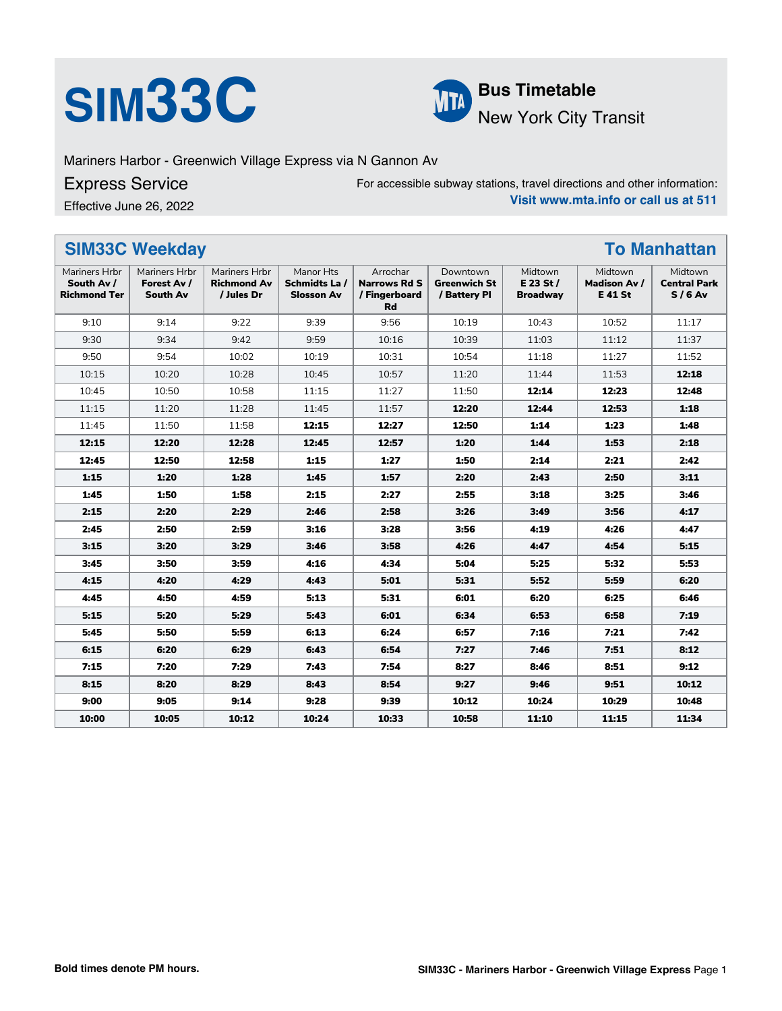# **SIM33C Bus Timetable**<br>New York City



New York City Transit

Mariners Harbor - Greenwich Village Express via N Gannon Av

### Express Service

Effective June 26, 2022

For accessible subway stations, travel directions and other information: **Visit www.mta.info or call us at 511**

| <b>SIM33C Weekday</b><br><b>To Manhattan</b>       |                                          |                                                   |                                                 |                                                        |                                                 |                                           |                                                 |                                            |
|----------------------------------------------------|------------------------------------------|---------------------------------------------------|-------------------------------------------------|--------------------------------------------------------|-------------------------------------------------|-------------------------------------------|-------------------------------------------------|--------------------------------------------|
| Mariners Hrbr<br>South Av /<br><b>Richmond Ter</b> | Mariners Hrbr<br>Forest Av /<br>South Av | Mariners Hrbr<br><b>Richmond Av</b><br>/ Jules Dr | Manor Hts<br>Schmidts La /<br><b>Slosson Av</b> | Arrochar<br><b>Narrows Rd S</b><br>/ Fingerboard<br>Rd | Downtown<br><b>Greenwich St</b><br>/ Battery Pl | Midtown<br>$E$ 23 St /<br><b>Broadway</b> | Midtown<br><b>Madison Av /</b><br><b>E41 St</b> | Midtown<br><b>Central Park</b><br>$S/6$ Av |
| 9:10                                               | 9:14                                     | 9:22                                              | 9:39                                            | 9:56                                                   | 10:19                                           | 10:43                                     | 10:52                                           | 11:17                                      |
| 9:30                                               | 9:34                                     | 9:42                                              | 9:59                                            | 10:16                                                  | 10:39                                           | 11:03                                     | 11:12                                           | 11:37                                      |
| 9:50                                               | 9:54                                     | 10:02                                             | 10:19                                           | 10:31                                                  | 10:54                                           | 11:18                                     | 11:27                                           | 11:52                                      |
| 10:15                                              | 10:20                                    | 10:28                                             | 10:45                                           | 10:57                                                  | 11:20                                           | 11:44                                     | 11:53                                           | 12:18                                      |
| 10:45                                              | 10:50                                    | 10:58                                             | 11:15                                           | 11:27                                                  | 11:50                                           | 12:14                                     | 12:23                                           | 12:48                                      |
| 11:15                                              | 11:20                                    | 11:28                                             | 11:45                                           | 11:57                                                  | 12:20                                           | 12:44                                     | 12:53                                           | 1:18                                       |
| 11:45                                              | 11:50                                    | 11:58                                             | 12:15                                           | 12:27                                                  | 12:50                                           | 1:14                                      | 1:23                                            | 1:48                                       |
| 12:15                                              | 12:20                                    | 12:28                                             | 12:45                                           | 12:57                                                  | 1:20                                            | 1:44                                      | 1:53                                            | 2:18                                       |
| 12:45                                              | 12:50                                    | 12:58                                             | 1:15                                            | 1:27                                                   | 1:50                                            | 2:14                                      | 2:21                                            | 2:42                                       |
| 1:15                                               | 1:20                                     | 1:28                                              | 1:45                                            | 1:57                                                   | 2:20                                            | 2:43                                      | 2:50                                            | 3:11                                       |
| 1:45                                               | 1:50                                     | 1:58                                              | 2:15                                            | 2:27                                                   | 2:55                                            | 3:18                                      | 3:25                                            | 3:46                                       |
| 2:15                                               | 2:20                                     | 2:29                                              | 2:46                                            | 2:58                                                   | 3:26                                            | 3:49                                      | 3:56                                            | 4:17                                       |
| 2:45                                               | 2:50                                     | 2:59                                              | 3:16                                            | 3:28                                                   | 3:56                                            | 4:19                                      | 4:26                                            | 4:47                                       |
| 3:15                                               | 3:20                                     | 3:29                                              | 3:46                                            | 3:58                                                   | 4:26                                            | 4:47                                      | 4:54                                            | 5:15                                       |
| 3:45                                               | 3:50                                     | 3:59                                              | 4:16                                            | 4:34                                                   | 5:04                                            | 5:25                                      | 5:32                                            | 5:53                                       |
| 4:15                                               | 4:20                                     | 4:29                                              | 4:43                                            | 5:01                                                   | 5:31                                            | 5:52                                      | 5:59                                            | 6:20                                       |
| 4:45                                               | 4:50                                     | 4:59                                              | 5:13                                            | 5:31                                                   | 6:01                                            | 6:20                                      | 6:25                                            | 6:46                                       |
| 5:15                                               | 5:20                                     | 5:29                                              | 5:43                                            | 6:01                                                   | 6:34                                            | 6:53                                      | 6:58                                            | 7:19                                       |
| 5:45                                               | 5:50                                     | 5:59                                              | 6:13                                            | 6:24                                                   | 6:57                                            | 7:16                                      | 7:21                                            | 7:42                                       |
| 6:15                                               | 6:20                                     | 6:29                                              | 6:43                                            | 6:54                                                   | 7:27                                            | 7:46                                      | 7:51                                            | 8:12                                       |
| 7:15                                               | 7:20                                     | 7:29                                              | 7:43                                            | 7:54                                                   | 8:27                                            | 8:46                                      | 8:51                                            | 9:12                                       |
| 8:15                                               | 8:20                                     | 8:29                                              | 8:43                                            | 8:54                                                   | 9:27                                            | 9:46                                      | 9:51                                            | 10:12                                      |
| 9:00                                               | 9:05                                     | 9:14                                              | 9:28                                            | 9:39                                                   | 10:12                                           | 10:24                                     | 10:29                                           | 10:48                                      |
| 10:00                                              | 10:05                                    | 10:12                                             | 10:24                                           | 10:33                                                  | 10:58                                           | 11:10                                     | 11:15                                           | 11:34                                      |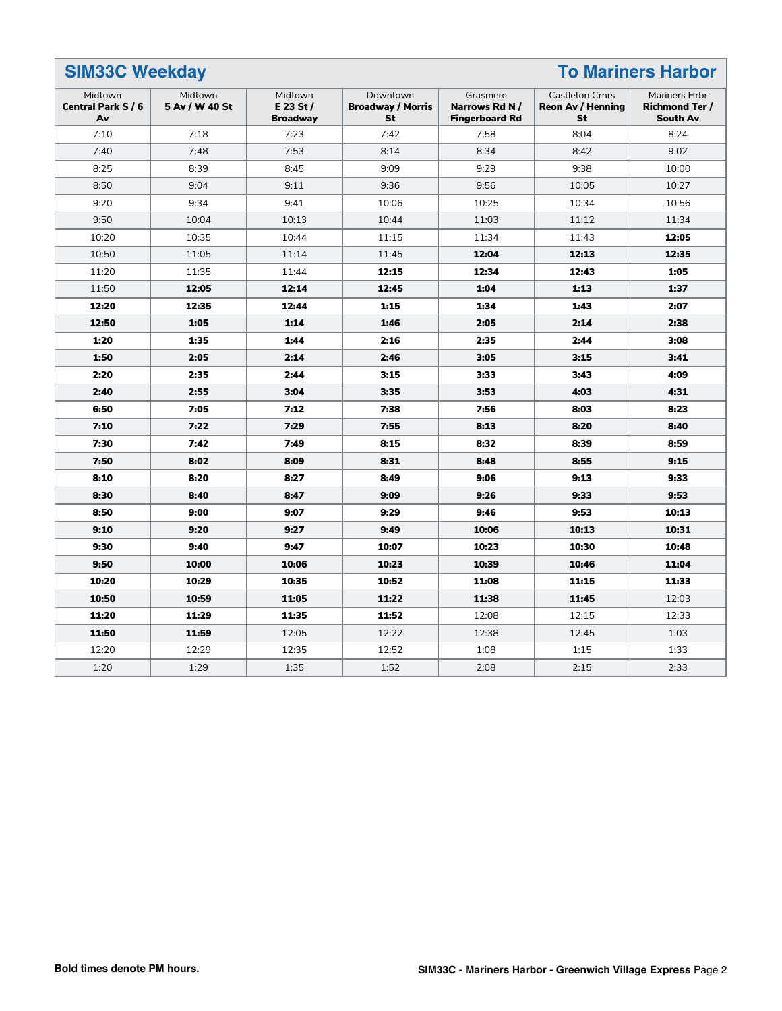#### **SIM33C Weekday To Mariners Harbor** Midtown **Central Park S / 6 Av** Midtown **5 Av / W 40 St** Midtown **E 23 St / Broadway** Downtown **Broadway / Morris St** Grasmere **Narrows Rd N / Fingerboard Rd** Castleton Crnrs **Reon Av / Henning St** Mariners Hrbr **Richmond Ter / South Av** 7:10 7:18 7:23 7:42 7:58 8:04 8:24 7:40 7:48 7:53 8:14 8:34 8:42 9:02 8:25 | 8:39 | 8:45 | 9:09 | 9:29 | 9:38 | 10:00 8:50 | 9:04 | 9:11 | 9:36 | 9:56 | 10:05 | 10:27 9:20 | 9:34 | 9:41 | 10:06 | 10:25 | 10:34 | 10:56 9:50 10:04 10:13 10:44 11:03 11:12 11:34 10:20 | 10:35 | 10:44 | 11:15 | 11:34 | 11:43 | **12:05** 10:50 11:05 11:14 11:45 **12:04 12:13 12:35** 11:20 11:35 11:44 **12:15 12:34 12:43 1:05** 11:50 **12:05 12:14 12:45 1:04 1:13 1:37 12:20 12:35 12:44 1:15 1:34 1:43 2:07 12:50 1:05 1:14 1:46 2:05 2:14 2:38 1:20 1:35 1:44 2:16 2:35 2:44 3:08 1:50 2:05 2:14 2:46 3:05 3:15 3:41 2:20 2:35 2:44 3:15 3:33 3:43 4:09 2:40 2:55 3:04 3:35 3:53 4:03 4:31 6:50 7:05 7:12 7:38 7:56 8:03 8:23 7:10 7:22 7:29 7:55 8:13 8:20 8:40 7:30 7:42 7:49 8:15 8:32 8:39 8:59 7:50 8:02 8:09 8:31 8:48 8:55 9:15 8:10 8:20 8:27 8:49 9:06 9:13 9:33 8:30 8:40 8:47 9:09 9:26 9:33 9:53 8:50 9:00 9:07 9:29 9:46 9:53 10:13 9:10 9:20 9:27 9:49 10:06 10:13 10:31 9:30 9:40 9:47 10:07 10:23 10:30 10:48 9:50 10:00 10:06 10:23 10:39 10:46 11:04 10:20 10:29 10:35 10:52 11:08 11:15 11:33 10:50 10:59 11:05 11:22 11:38 11:45** 12:03 **11:20 11:29 11:35 11:52** 12:08 12:15 12:33 **11:50 11:59** 12:05 12:22 12:38 12:245 1:03 12:20 | 12:29 | 12:35 | 12:52 | 1:08 | 1:15 | 1:33 1:20 1:29 1:35 1:52 2:08 2:15 2:33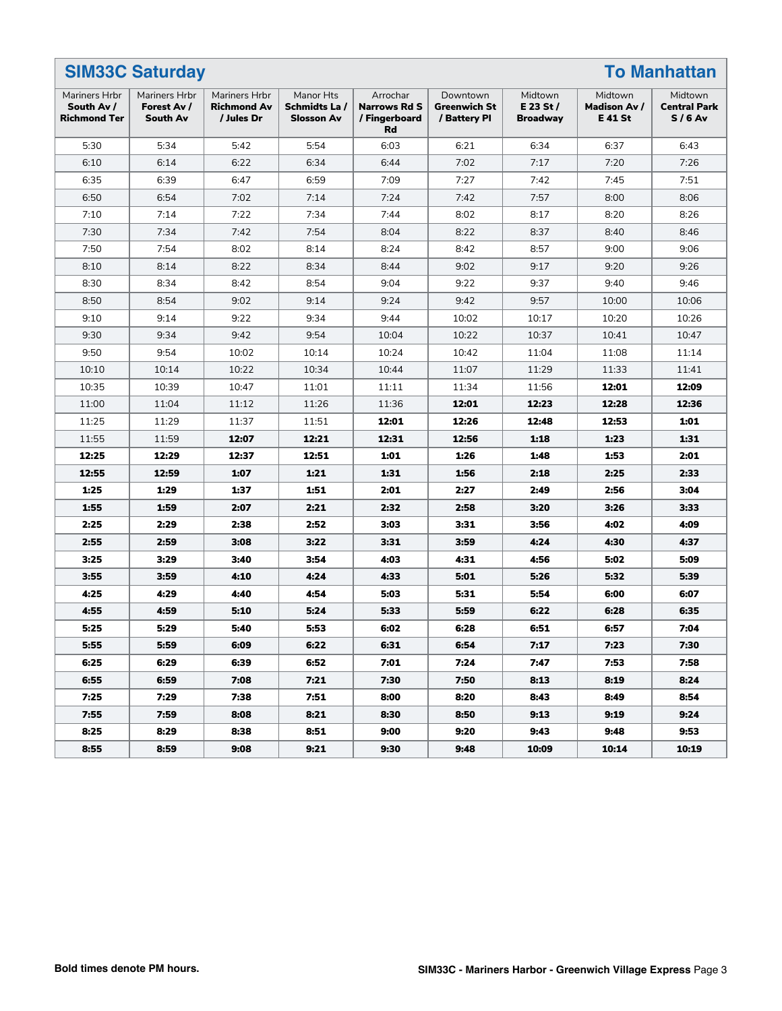| <b>SIM33C Saturday</b><br><b>To Manhattan</b>      |                                          |                                                   |                                                |                                                        |                                          |                                           |                                                 |                                            |
|----------------------------------------------------|------------------------------------------|---------------------------------------------------|------------------------------------------------|--------------------------------------------------------|------------------------------------------|-------------------------------------------|-------------------------------------------------|--------------------------------------------|
| Mariners Hrbr<br>South Av /<br><b>Richmond Ter</b> | Mariners Hrbr<br>Forest Av /<br>South Av | Mariners Hrbr<br><b>Richmond Av</b><br>/ Jules Dr | Manor Hts<br>Schmidts La/<br><b>Slosson Av</b> | Arrochar<br><b>Narrows Rd S</b><br>/ Fingerboard<br>Rd | Downtown<br>Greenwich St<br>/ Battery Pl | Midtown<br>$E$ 23 St /<br><b>Broadway</b> | Midtown<br><b>Madison Av /</b><br><b>E41 St</b> | Midtown<br><b>Central Park</b><br>$S/6$ Av |
| 5:30                                               | 5:34                                     | 5:42                                              | 5:54                                           | 6:03                                                   | 6:21                                     | 6:34                                      | 6:37                                            | 6:43                                       |
| 6:10                                               | 6:14                                     | 6:22                                              | 6:34                                           | 6:44                                                   | 7:02                                     | 7:17                                      | 7:20                                            | 7:26                                       |
| 6:35                                               | 6:39                                     | 6:47                                              | 6:59                                           | 7:09                                                   | 7:27                                     | 7:42                                      | 7:45                                            | 7:51                                       |
| 6:50                                               | 6:54                                     | 7:02                                              | 7:14                                           | 7:24                                                   | 7:42                                     | 7:57                                      | 8:00                                            | 8:06                                       |
| 7:10                                               | 7:14                                     | 7:22                                              | 7:34                                           | 7:44                                                   | 8:02                                     | 8:17                                      | 8:20                                            | 8:26                                       |
| 7:30                                               | 7:34                                     | 7:42                                              | 7:54                                           | 8:04                                                   | 8:22                                     | 8:37                                      | 8:40                                            | 8:46                                       |
| 7:50                                               | 7:54                                     | 8:02                                              | 8:14                                           | 8:24                                                   | 8:42                                     | 8:57                                      | 9:00                                            | 9:06                                       |
| 8:10                                               | 8:14                                     | 8:22                                              | 8:34                                           | 8:44                                                   | 9:02                                     | 9:17                                      | 9:20                                            | 9:26                                       |
| 8:30                                               | 8:34                                     | 8:42                                              | 8:54                                           | 9:04                                                   | 9:22                                     | 9:37                                      | 9:40                                            | 9:46                                       |
| 8:50                                               | 8:54                                     | 9:02                                              | 9:14                                           | 9:24                                                   | 9:42                                     | 9:57                                      | 10:00                                           | 10:06                                      |
| 9:10                                               | 9:14                                     | 9:22                                              | 9:34                                           | 9:44                                                   | 10:02                                    | 10:17                                     | 10:20                                           | 10:26                                      |
| 9:30                                               | 9:34                                     | 9:42                                              | 9:54                                           | 10:04                                                  | 10:22                                    | 10:37                                     | 10:41                                           | 10:47                                      |
| 9:50                                               | 9:54                                     | 10:02                                             | 10:14                                          | 10:24                                                  | 10:42                                    | 11:04                                     | 11:08                                           | 11:14                                      |
| 10:10                                              | 10:14                                    | 10:22                                             | 10:34                                          | 10:44                                                  | 11:07                                    | 11:29                                     | 11:33                                           | 11:41                                      |
| 10:35                                              | 10:39                                    | 10:47                                             | 11:01                                          | 11:11                                                  | 11:34                                    | 11:56                                     | 12:01                                           | 12:09                                      |
| 11:00                                              | 11:04                                    | 11:12                                             | 11:26                                          | 11:36                                                  | 12:01                                    | 12:23                                     | 12:28                                           | 12:36                                      |
| 11:25                                              | 11:29                                    | 11:37                                             | 11:51                                          | 12:01                                                  | 12:26                                    | 12:48                                     | 12:53                                           | 1:01                                       |
| 11:55                                              | 11:59                                    | 12:07                                             | 12:21                                          | 12:31                                                  | 12:56                                    | 1:18                                      | 1:23                                            | 1:31                                       |
| 12:25                                              | 12:29                                    | 12:37                                             | 12:51                                          | 1:01                                                   | 1:26                                     | 1:48                                      | 1:53                                            | 2:01                                       |
| 12:55                                              | 12:59                                    | 1:07                                              | 1:21                                           | 1:31                                                   | 1:56                                     | 2:18                                      | 2:25                                            | 2:33                                       |
| 1:25                                               | 1:29                                     | 1:37                                              | 1:51                                           | 2:01                                                   | 2:27                                     | 2:49                                      | 2:56                                            | 3:04                                       |
| 1:55                                               | 1:59                                     | 2:07                                              | 2:21                                           | 2:32                                                   | 2:58                                     | 3:20                                      | 3:26                                            | 3:33                                       |
| 2:25                                               | 2:29                                     | 2:38                                              | 2:52                                           | 3:03                                                   | 3:31                                     | 3:56                                      | 4:02                                            | 4:09                                       |
| 2:55                                               | 2:59                                     | 3:08                                              | 3:22                                           | 3:31                                                   | 3:59                                     | 4:24                                      | 4:30                                            | 4:37                                       |
| 3:25                                               | 3:29                                     | 3:40                                              | 3:54                                           | 4:03                                                   | 4:31                                     | 4:56                                      | 5:02                                            | 5:09                                       |
| 3:55                                               | 3:59                                     | 4:10                                              | 4:24                                           | 4:33                                                   | 5:01                                     | 5:26                                      | 5:32                                            | 5:39                                       |
| 4:25                                               | 4:29                                     | 4:40                                              | 4:54                                           | 5:03                                                   | 5:31                                     | 5:54                                      | 6:00                                            | 6:07                                       |
| 4:55                                               | 4:59                                     | 5:10                                              | 5:24                                           | 5:33                                                   | 5:59                                     | 6:22                                      | 6:28                                            | 6:35                                       |
| 5:25                                               | 5:29                                     | 5:40                                              | 5:53                                           | 6:02                                                   | 6:28                                     | 6:51                                      | 6:57                                            | 7:04                                       |
| 5:55                                               | 5:59                                     | 6:09                                              | 6:22                                           | 6:31                                                   | 6:54                                     | 7:17                                      | 7:23                                            | 7:30                                       |
| 6:25                                               | 6:29                                     | 6:39                                              | 6:52                                           | 7:01                                                   | 7:24                                     | 7:47                                      | 7:53                                            | 7:58                                       |
| 6:55                                               | 6:59                                     | 7:08                                              | 7:21                                           | 7:30                                                   | 7:50                                     | 8:13                                      | 8:19                                            | 8:24                                       |
| 7:25                                               | 7:29                                     | 7:38                                              | 7:51                                           | 8:00                                                   | 8:20                                     | 8:43                                      | 8:49                                            | 8:54                                       |
| 7:55                                               | 7:59                                     | 8:08                                              | 8:21                                           | 8:30                                                   | 8:50                                     | 9:13                                      | 9:19                                            | 9:24                                       |
| 8:25                                               | 8:29                                     | 8:38                                              | 8:51                                           | 9:00                                                   | 9:20                                     | 9:43                                      | 9:48                                            | 9:53                                       |
| 8:55                                               | 8:59                                     | 9:08                                              | 9:21                                           | 9:30                                                   | 9:48                                     | 10:09                                     | 10:14                                           | 10:19                                      |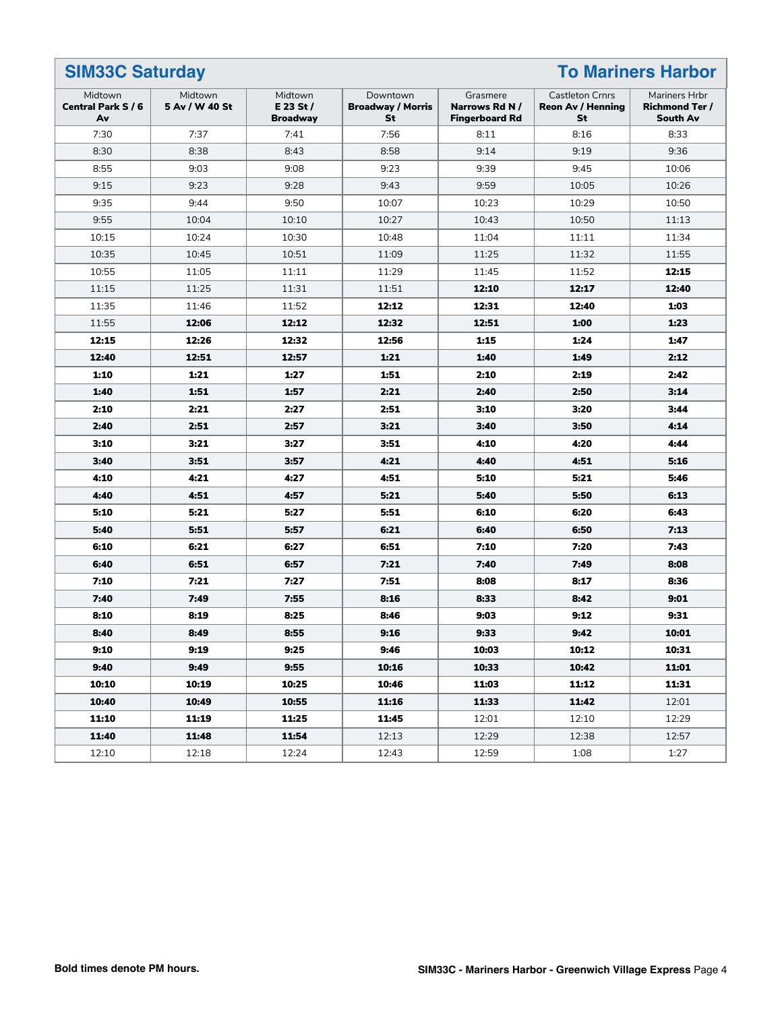#### **SIM33C Saturday To Mariners Harbor** Midtown **Central Park S / 6 Av** Midtown **5 Av / W 40 St** Midtown **E 23 St / Broadway** Downtown **Broadway / Morris St** Grasmere **Narrows Rd N / Fingerboard Rd** Castleton Crnrs **Reon Av / Henning St** Mariners Hrbr **Richmond Ter / South Av** 7:30 7:37 7:41 7:56 8:11 8:16 8:33 8:30 | 8:38 | 8:43 | 8:58 | 9:14 | 9:19 | 9:36 8:55 | 9:03 | 9:08 | 9:23 | 9:39 | 9:45 | 10:06 9:15 9:23 9:28 9:43 9:59 10:05 10:26 9:35 | 9:44 | 9:50 | 10:07 | 10:23 | 10:29 | 10:50 9:55 10:04 10:10 10:27 10:43 10:50 11:13 10:15 | 10:24 | 10:30 | 10:48 | 11:04 | 11:11 | 11:34 10:35 10:45 10:51 11:09 11:25 11:32 11:55 10:55 | 11:05 | 11:11 | 11:29 | 11:45 | 11:52 | **12:15** 11:15 11:25 11:31 11:51 **12:10 12:17 12:40** 11:35 11:46 11:52 **12:12 12:31 12:40 1:03** 11:55 **12:06 12:12 12:32 12:51 1:00 1:23 12:15 12:26 12:32 12:56 1:15 1:24 1:47 12:40 12:51 12:57 1:21 1:40 1:49 2:12 1:10 1:21 1:27 1:51 2:10 2:19 2:42 1:40 1:51 1:57 2:21 2:40 2:50 3:14 2:10 2:21 2:27 2:51 3:10 3:20 3:44 2:40 2:51 2:57 3:21 3:40 3:50 4:14 3:10 3:21 3:27 3:51 4:10 4:20 4:44 3:40 3:51 3:57 4:21 4:40 4:51 5:16 4:10 4:21 4:27 4:51 5:10 5:21 5:46 4:40 4:51 4:57 5:21 5:40 5:50 6:13 5:10 5:21 5:27 5:51 6:10 6:20 6:43 5:40 5:51 5:57 6:21 6:40 6:50 7:13 6:10 6:21 6:27 6:51 7:10 7:20 7:43 6:40 6:51 6:57 7:21 7:40 7:49 8:08 7:10 7:21 7:27 7:51 8:08 8:17 8:36 7:40 7:49 7:55 8:16 8:33 8:42 9:01 8:10 8:19 8:25 8:46 9:03 9:12 9:31 8:40 8:49 8:55 9:16 9:33 9:42 10:01 9:10 9:19 9:25 9:46 10:03 10:12 10:31 9:40 9:49 9:55 10:16 10:33 10:42 11:01 10:10 10:19 10:25 10:46 11:03 11:12 11:31 10:40 10:49 10:55 11:16 11:33 11:42** 12:01 **11:10 11:19 11:25 11:45** 12:01 12:10 12:29 **11:40 11:48 11:54** 12:13 12:29 12:38 12:57 12:10 12:18 12:24 12:43 12:59 1:08 1:27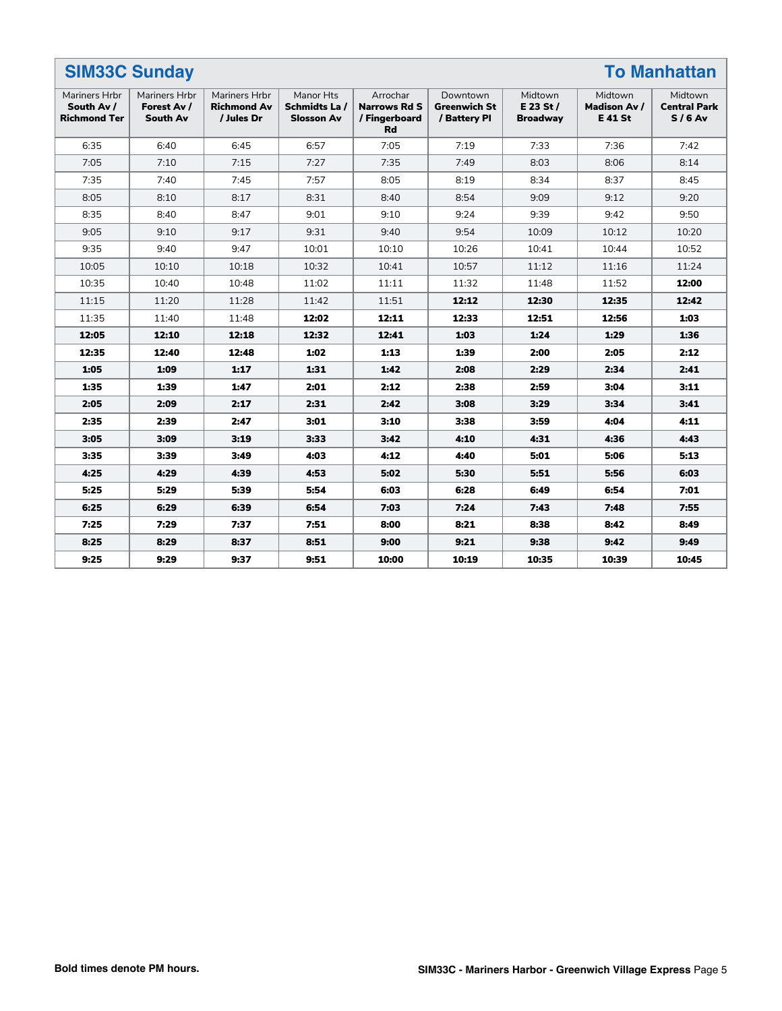| <b>SIM33C Sunday</b><br><b>To Manhattan</b>        |                                                 |                                                   |                                                 |                                                               |                                                 |                                         |                                          |                                            |
|----------------------------------------------------|-------------------------------------------------|---------------------------------------------------|-------------------------------------------------|---------------------------------------------------------------|-------------------------------------------------|-----------------------------------------|------------------------------------------|--------------------------------------------|
| Mariners Hrbr<br>South Av /<br><b>Richmond Ter</b> | <b>Mariners Hrbr</b><br>Forest Av /<br>South Av | Mariners Hrbr<br><b>Richmond Av</b><br>/ Jules Dr | Manor Hts<br>Schmidts La /<br><b>Slosson Av</b> | Arrochar<br><b>Narrows Rd S</b><br>/ Fingerboard<br><b>Rd</b> | Downtown<br><b>Greenwich St</b><br>/ Battery Pl | Midtown<br>E 23 St /<br><b>Broadway</b> | Midtown<br>Madison Av /<br><b>E41 St</b> | Midtown<br><b>Central Park</b><br>$S/6$ Av |
| 6:35                                               | 6:40                                            | 6:45                                              | 6:57                                            | 7:05                                                          | 7:19                                            | 7:33                                    | 7:36                                     | 7:42                                       |
| 7:05                                               | 7:10                                            | 7:15                                              | 7:27                                            | 7:35                                                          | 7:49                                            | 8:03                                    | 8:06                                     | 8:14                                       |
| 7:35                                               | 7:40                                            | 7:45                                              | 7:57                                            | 8:05                                                          | 8:19                                            | 8:34                                    | 8:37                                     | 8:45                                       |
| 8:05                                               | 8:10                                            | 8:17                                              | 8:31                                            | 8:40                                                          | 8:54                                            | 9:09                                    | 9:12                                     | 9:20                                       |
| 8:35                                               | 8:40                                            | 8:47                                              | 9:01                                            | 9:10                                                          | 9:24                                            | 9:39                                    | 9:42                                     | 9:50                                       |
| 9:05                                               | 9:10                                            | 9:17                                              | 9:31                                            | 9:40                                                          | 9:54                                            | 10:09                                   | 10:12                                    | 10:20                                      |
| 9:35                                               | 9:40                                            | 9:47                                              | 10:01                                           | 10:10                                                         | 10:26                                           | 10:41                                   | 10:44                                    | 10:52                                      |
| 10:05                                              | 10:10                                           | 10:18                                             | 10:32                                           | 10:41                                                         | 10:57                                           | 11:12                                   | 11:16                                    | 11:24                                      |
| 10:35                                              | 10:40                                           | 10:48                                             | 11:02                                           | 11:11                                                         | 11:32                                           | 11:48                                   | 11:52                                    | 12:00                                      |
| 11:15                                              | 11:20                                           | 11:28                                             | 11:42                                           | 11:51                                                         | 12:12                                           | 12:30                                   | 12:35                                    | 12:42                                      |
| 11:35                                              | 11:40                                           | 11:48                                             | 12:02                                           | 12:11                                                         | 12:33                                           | 12:51                                   | 12:56                                    | 1:03                                       |
| 12:05                                              | 12:10                                           | 12:18                                             | 12:32                                           | 12:41                                                         | 1:03                                            | 1:24                                    | 1:29                                     | 1:36                                       |
| 12:35                                              | 12:40                                           | 12:48                                             | 1:02                                            | 1:13                                                          | 1:39                                            | 2:00                                    | 2:05                                     | 2:12                                       |
| 1:05                                               | 1:09                                            | 1:17                                              | 1:31                                            | 1:42                                                          | 2:08                                            | 2:29                                    | 2:34                                     | 2:41                                       |
| 1:35                                               | 1:39                                            | 1:47                                              | 2:01                                            | 2:12                                                          | 2:38                                            | 2:59                                    | 3:04                                     | 3:11                                       |
| 2:05                                               | 2:09                                            | 2:17                                              | 2:31                                            | 2:42                                                          | 3:08                                            | 3:29                                    | 3:34                                     | 3:41                                       |
| 2:35                                               | 2:39                                            | 2:47                                              | 3:01                                            | 3:10                                                          | 3:38                                            | 3:59                                    | 4:04                                     | 4:11                                       |
| 3:05                                               | 3:09                                            | 3:19                                              | 3:33                                            | 3:42                                                          | 4:10                                            | 4:31                                    | 4:36                                     | 4:43                                       |
| 3:35                                               | 3:39                                            | 3:49                                              | 4:03                                            | 4:12                                                          | 4:40                                            | 5:01                                    | 5:06                                     | 5:13                                       |
| 4:25                                               | 4:29                                            | 4:39                                              | 4:53                                            | 5:02                                                          | 5:30                                            | 5:51                                    | 5:56                                     | 6:03                                       |
| 5:25                                               | 5:29                                            | 5:39                                              | 5:54                                            | 6:03                                                          | 6:28                                            | 6:49                                    | 6:54                                     | 7:01                                       |
| 6:25                                               | 6:29                                            | 6:39                                              | 6:54                                            | 7:03                                                          | 7:24                                            | 7:43                                    | 7:48                                     | 7:55                                       |
| 7:25                                               | 7:29                                            | 7:37                                              | 7:51                                            | 8:00                                                          | 8:21                                            | 8:38                                    | 8:42                                     | 8:49                                       |
| 8:25                                               | 8:29                                            | 8:37                                              | 8:51                                            | 9:00                                                          | 9:21                                            | 9:38                                    | 9:42                                     | 9:49                                       |
| 9:25                                               | 9:29                                            | 9:37                                              | 9:51                                            | 10:00                                                         | 10:19                                           | 10:35                                   | 10:39                                    | 10:45                                      |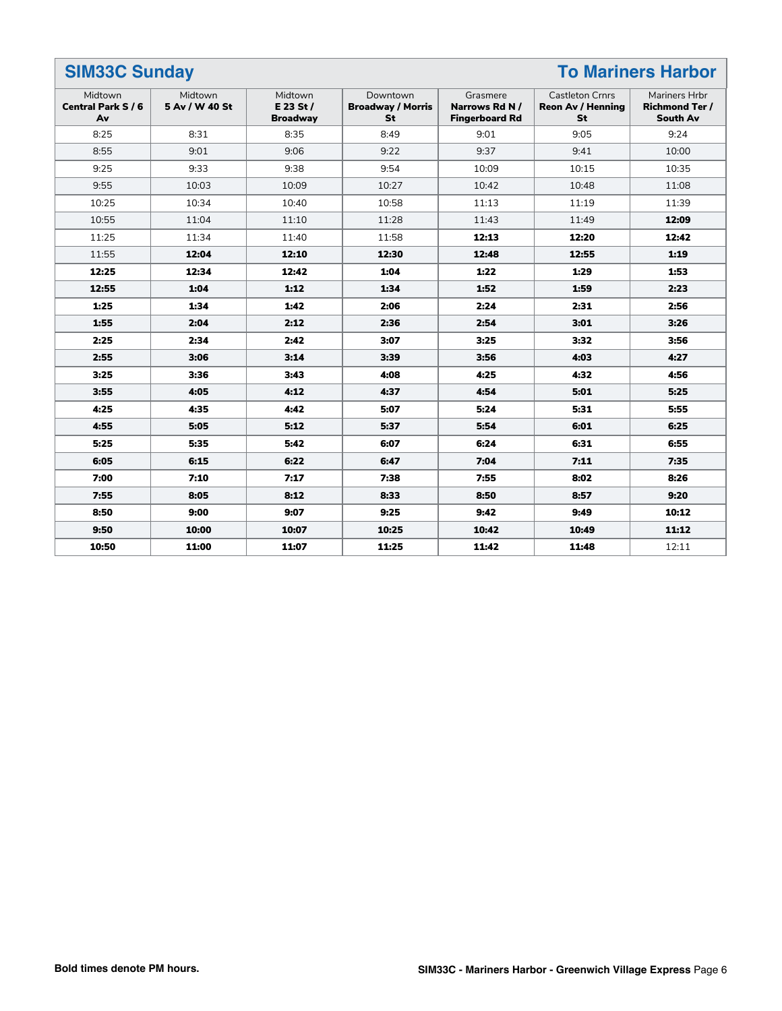| <b>SIM33C Sunday</b><br><b>To Mariners Harbor</b> |                           |                                           |                                                   |                                                    |                                                          |                                                           |
|---------------------------------------------------|---------------------------|-------------------------------------------|---------------------------------------------------|----------------------------------------------------|----------------------------------------------------------|-----------------------------------------------------------|
| Midtown<br><b>Central Park S / 6</b><br>Av        | Midtown<br>5 Av / W 40 St | Midtown<br>$E$ 23 St /<br><b>Broadway</b> | Downtown<br><b>Broadway / Morris</b><br><b>St</b> | Grasmere<br>Narrows Rd N/<br><b>Fingerboard Rd</b> | <b>Castleton Crnrs</b><br><b>Reon Av / Henning</b><br>St | Mariners Hrbr<br><b>Richmond Ter /</b><br><b>South Av</b> |
| 8:25                                              | 8:31                      | 8:35                                      | 8:49                                              | 9:01                                               | 9:05                                                     | 9:24                                                      |
| 8:55                                              | 9:01                      | 9:06                                      | 9:22                                              | 9:37                                               | 9:41                                                     | 10:00                                                     |
| 9:25                                              | 9:33                      | 9:38                                      | 9:54                                              | 10:09                                              | 10:15                                                    | 10:35                                                     |
| 9:55                                              | 10:03                     | 10:09                                     | 10:27                                             | 10:42                                              | 10:48                                                    | 11:08                                                     |
| 10:25                                             | 10:34                     | 10:40                                     | 10:58                                             | 11:13                                              | 11:19                                                    | 11:39                                                     |
| 10:55                                             | 11:04                     | 11:10                                     | 11:28                                             | 11:43                                              | 11:49                                                    | 12:09                                                     |
| 11:25                                             | 11:34                     | 11:40                                     | 11:58                                             | 12:13                                              | 12:20                                                    | 12:42                                                     |
| 11:55                                             | 12:04                     | 12:10                                     | 12:30                                             | 12:48                                              | 12:55                                                    | 1:19                                                      |
| 12:25                                             | 12:34                     | 12:42                                     | 1:04                                              | 1:22                                               | 1:29                                                     | 1:53                                                      |
| 12:55                                             | 1:04                      | 1:12                                      | 1:34                                              | 1:52                                               | 1:59                                                     | 2:23                                                      |
| 1:25                                              | 1:34                      | 1:42                                      | 2:06                                              | 2:24                                               | 2:31                                                     | 2:56                                                      |
| 1:55                                              | 2:04                      | 2:12                                      | 2:36                                              | 2:54                                               | 3:01                                                     | 3:26                                                      |
| 2:25                                              | 2:34                      | 2:42                                      | 3:07                                              | 3:25                                               | 3:32                                                     | 3:56                                                      |
| 2:55                                              | 3:06                      | 3:14                                      | 3:39                                              | 3:56                                               | 4:03                                                     | 4:27                                                      |
| 3:25                                              | 3:36                      | 3:43                                      | 4:08                                              | 4:25                                               | 4:32                                                     | 4:56                                                      |
| 3:55                                              | 4:05                      | 4:12                                      | 4:37                                              | 4:54                                               | 5:01                                                     | 5:25                                                      |
| 4:25                                              | 4:35                      | 4:42                                      | 5:07                                              | 5:24                                               | 5:31                                                     | 5:55                                                      |
| 4:55                                              | 5:05                      | 5:12                                      | 5:37                                              | 5:54                                               | 6:01                                                     | 6:25                                                      |
| 5:25                                              | 5:35                      | 5:42                                      | 6:07                                              | 6:24                                               | 6:31                                                     | 6:55                                                      |
| 6:05                                              | 6:15                      | 6:22                                      | 6:47                                              | 7:04                                               | 7:11                                                     | 7:35                                                      |
| 7:00                                              | 7:10                      | 7:17                                      | 7:38                                              | 7:55                                               | 8:02                                                     | 8:26                                                      |
| 7:55                                              | 8:05                      | 8:12                                      | 8:33                                              | 8:50                                               | 8:57                                                     | 9:20                                                      |
| 8:50                                              | 9:00                      | 9:07                                      | 9:25                                              | 9:42                                               | 9:49                                                     | 10:12                                                     |
| 9:50                                              | 10:00                     | 10:07                                     | 10:25                                             | 10:42                                              | 10:49                                                    | 11:12                                                     |
| 10:50                                             | 11:00                     | 11:07                                     | 11:25                                             | 11:42                                              | 11:48                                                    | 12:11                                                     |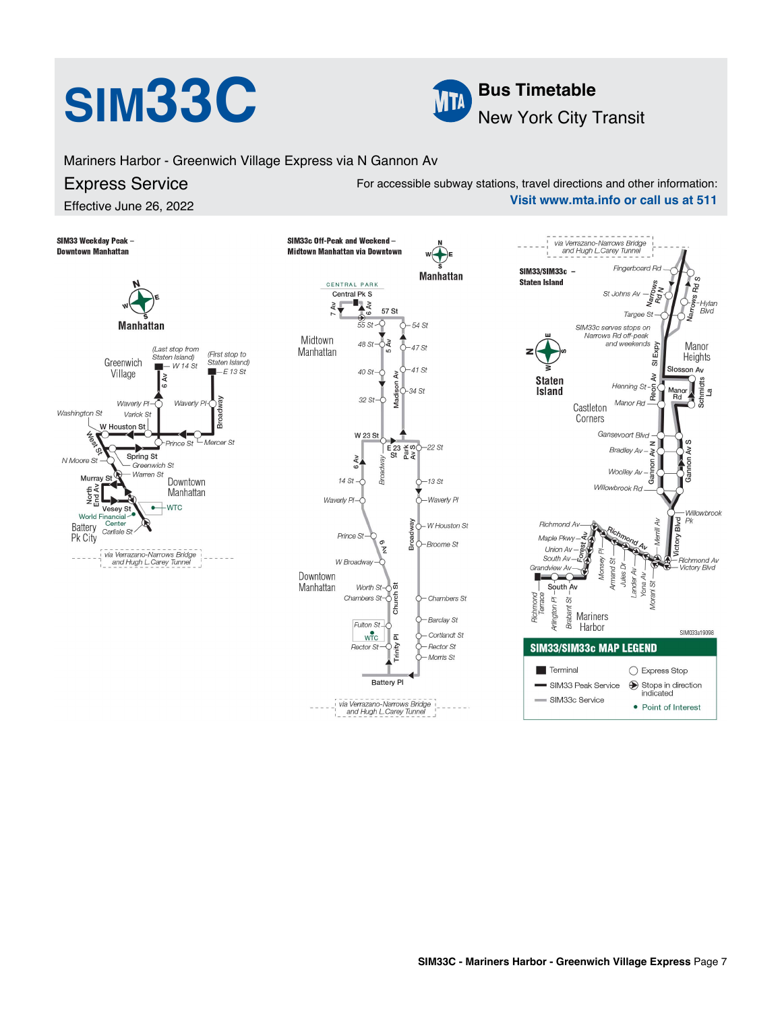# **SIM33C Bus Timetable**



Mariners Harbor - Greenwich Village Express via N Gannon Av

### Express Service

Effective June 26, 2022

For accessible subway stations, travel directions and other information: **Visit www.mta.info or call us at 511**

SIM33 Weekday Peak -SIM33c Off-Peak and Weekend via Verrazano-Narrows Bridge **Downtown Manhattan** Midtown Manhattan via Downtown and Hugh L. Carey Tunnel Fingerboard Rd SIM33/SIM33c -**Manhattan Staten Island** CENTRAL PARK Central Pk S St Johns Av Namor<br>Rota  $\mathbf{L}$ Hylan<br>Blvd  $\geq$ 57 St Targee St  $55S$ 54 St **Manhattan** SIM33c serves stops on Narrows Rd off-peak Midtown 48 St  $\geq$ and weekends Expy Manor  $l$  ast stop from 47 St Manhattan (First stop to Staten Island) Heights Greenwich Staten Island)  $\overline{\omega}$  $-W14St$  $-E$  13 St  $41.5t$ Slosson Av 40 St Village  $\lambda$  $\tilde{A}$  $\lambda v$ **Calculate**<br>Schmidts<br>La **Staten**  $H$ enning St- $\frac{1}{6}$ 34.St Island **Rei** "Rd  $32St$ Manor Rd Waverly P Waverly P Castleton Washington St Varick St Corners W Houston St W 23 St Gansevoort Blvd  $\overline{a}$ Mercer St Prince St  $\overline{z}$  $E$ <sub>23</sub> $\frac{2}{5}$  $-22st$ a Bradley Av.  $\overline{a}$ š Spring St 6 AV N Moore St Gannon Greenwich St Wooll ey Av Broac - Warren St Murray St Downtown  $14St$  $-13St$ North<br>End Av Willowbrook Rd Manhattan Waverly Pl Waverly Pl  $-WTC$  $\bullet$  $\overline{u}$ Vesey &<br>World Financial<br>attery Center esey Willowbrook Blvd  $\overline{4}$  $P<sub>k</sub>$ Battery W Houston St **Richmond Av** Carlisle St Vierrill Prince St Pk City Maple Pkwv  $6M$ م<br>آ -Broome St  $55$ Union Av via Verrazano-Narrows Bridge ă South Av-Monsey **Richmond Av** and Hugh L. Carey Tunnel W Broadway Armand St Jules Dr Grandview Av **Victory Blvd** ander Av Downtown n.  $\overline{\mathcal{O}}$ Yona Av õ  $\ddot{\tilde{\omega}}$ South Av Manhattan Worth St-ĬΩ Richmond<br>Terrace Chambers  $St - 5$ - Chambers St Arlington PI .<br>ගි Ē Brabant Mariners Barclay St Fulton St<sub>-C</sub> Harbor SIM033a19098  $w\overline{r}c$ Cortlandt St  $\overline{\mathtt{a}}$ 

Rector St

**Battery PI** 

via Verrazano-Narrows Bridge<br>and Hugh L.Carey Tunnel

- Rector St Morris St

| <b>SIM33/SIM33c MAP LEGEND</b> |                                                                                                                         |  |  |  |  |  |
|--------------------------------|-------------------------------------------------------------------------------------------------------------------------|--|--|--|--|--|
| Ferminal                       | ◯ Express Stop                                                                                                          |  |  |  |  |  |
| SIM33 Peak Service             | $\begin{array}{c}\n\bigcirc\n\end{array}\n\begin{array}{c}\n\text{Stops in direction} \\ \text{indicated}\n\end{array}$ |  |  |  |  |  |
| SIM33c Service                 | • Point of Interest                                                                                                     |  |  |  |  |  |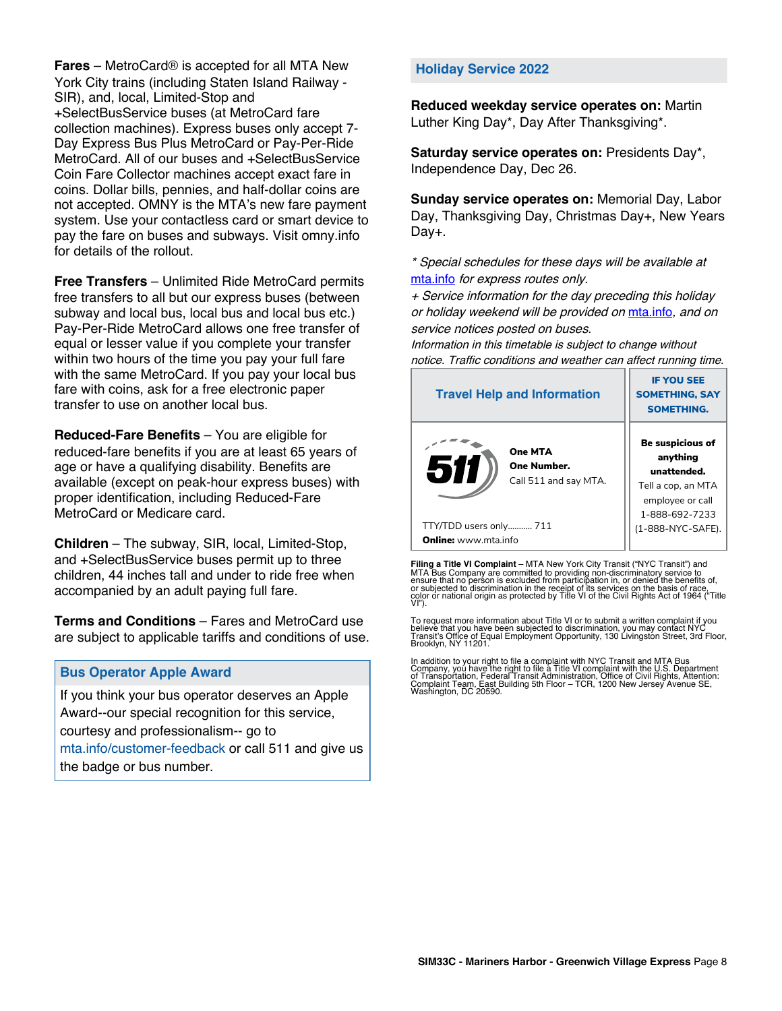**Fares** – MetroCard® is accepted for all MTA New York City trains (including Staten Island Railway - SIR), and, local, Limited-Stop and +SelectBusService buses (at MetroCard fare collection machines). Express buses only accept 7- Day Express Bus Plus MetroCard or Pay-Per-Ride MetroCard. All of our buses and +SelectBusService Coin Fare Collector machines accept exact fare in coins. Dollar bills, pennies, and half-dollar coins are not accepted. OMNY is the MTA's new fare payment system. Use your contactless card or smart device to pay the fare on buses and subways. Visit omny.info for details of the rollout.

**Free Transfers** – Unlimited Ride MetroCard permits free transfers to all but our express buses (between subway and local bus, local bus and local bus etc.) Pay-Per-Ride MetroCard allows one free transfer of equal or lesser value if you complete your transfer within two hours of the time you pay your full fare with the same MetroCard. If you pay your local bus fare with coins, ask for a free electronic paper transfer to use on another local bus.

**Reduced-Fare Benefits** – You are eligible for reduced-fare benefits if you are at least 65 years of age or have a qualifying disability. Benefits are available (except on peak-hour express buses) with proper identification, including Reduced-Fare MetroCard or Medicare card.

**Children** – The subway, SIR, local, Limited-Stop, and +SelectBusService buses permit up to three children, 44 inches tall and under to ride free when accompanied by an adult paying full fare.

**Terms and Conditions** – Fares and MetroCard use are subject to applicable tariffs and conditions of use.

### **Bus Operator Apple Award**

If you think your bus operator deserves an Apple Award--our special recognition for this service, courtesy and professionalism-- go to mta.info/customer-feedback or call 511 and give us the badge or bus number.

### **Holiday Service 2022**

**Reduced weekday service operates on:** Martin Luther King Day\*, Day After Thanksgiving\*.

**Saturday service operates on:** Presidents Day\*, Independence Day, Dec 26.

**Sunday service operates on:** Memorial Day, Labor Day, Thanksgiving Day, Christmas Day+, New Years Day+.

\* Special schedules for these days will be available at [mta.info](https://new.mta.info/) for express routes only.

+ Service information for the day preceding this holiday or holiday weekend will be provided on [mta.info](https://new.mta.info/), and on service notices posted on buses.

Information in this timetable is subject to change without notice. Traffic conditions and weather can affect running time.

| <b>Travel Help and Information</b>                     | <b>IF YOU SEE</b><br><b>SOMETHING, SAY</b><br><b>SOMETHING.</b>                                                |  |  |
|--------------------------------------------------------|----------------------------------------------------------------------------------------------------------------|--|--|
| One MTA<br>511<br>One Number.<br>Call 511 and say MTA. | <b>Be suspicious of</b><br>anything<br>unattended.<br>Tell a cop, an MTA<br>employee or call<br>1-888-692-7233 |  |  |
| TTY/TDD users only 711                                 | (1-888-NYC-SAFE).                                                                                              |  |  |
| <b>Online:</b> www.mta.info                            |                                                                                                                |  |  |

**Filing a Title VI Complaint** – MTA New York City Transit ("NYC Transit") and<br>MTA Bus Company are committed to providing non-discriminatory service to<br>ensure that no person is excluded from participation in, or denied the

To request more information about Title VI or to submit a written complaint if you believe that you have been subjected to discrimination, you may contact NYC<br>Transit's Office of Equal Employment Opportunity, 130 Livingston Street, 3rd Floor,<br>Brooklyn, NY 11201.

In addition to your right to file a complaint with NYC Transit and MTA Bus<br>Company, you have the right to file a Title VI complaint with the U.S. Department<br>of Transportation, Federal Transit Administration, Office of Civi